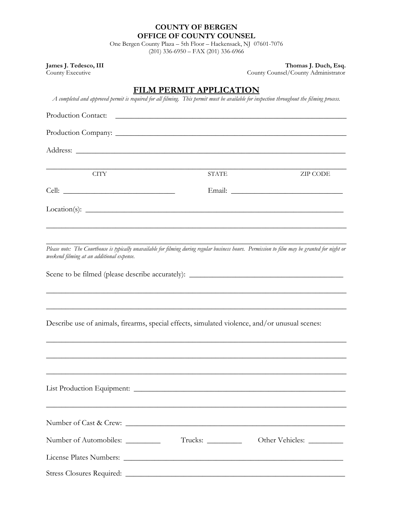#### **COUNTY OF BERGEN OFFICE OF COUNTY COUNSEL**

One Bergen County Plaza – 5th Floor – Hackensack, NJ 07601-7076 (201) 336-6950 – FAX (201) 336-6966

**James J. Tedesco, III** Thomas J. Duch, Esq.

County Executive County Counsel/County Administrator

## **FILM PERMIT APPLICATION**

*A completed and approved permit is required for all filming. This permit must be available for inspection throughout the filming process.*

| Production Contact:                                                                                                                                                                         | <u> 1989 - Johann Harry Harry Harry Harry Harry Harry Harry Harry Harry Harry Harry Harry Harry Harry Harry Harry</u> |                 |
|---------------------------------------------------------------------------------------------------------------------------------------------------------------------------------------------|-----------------------------------------------------------------------------------------------------------------------|-----------------|
|                                                                                                                                                                                             |                                                                                                                       |                 |
|                                                                                                                                                                                             |                                                                                                                       |                 |
|                                                                                                                                                                                             |                                                                                                                       |                 |
| <b>CITY</b>                                                                                                                                                                                 | <b>STATE</b>                                                                                                          | <b>ZIP CODE</b> |
|                                                                                                                                                                                             |                                                                                                                       |                 |
|                                                                                                                                                                                             |                                                                                                                       |                 |
| Please note: The Courthouse is typically unavailable for filming during regular business hours. Permission to film may be granted for night or<br>weekend filming at an additional expense. |                                                                                                                       |                 |
|                                                                                                                                                                                             |                                                                                                                       |                 |
| Describe use of animals, firearms, special effects, simulated violence, and/or unusual scenes:                                                                                              |                                                                                                                       |                 |
|                                                                                                                                                                                             | <u> 1989 - Johann Harry Harry Harry Harry Harry Harry Harry Harry Harry Harry Harry Harry Harry Harry Harry Harry</u> |                 |
|                                                                                                                                                                                             |                                                                                                                       |                 |
| Number of Cast & Crew:                                                                                                                                                                      |                                                                                                                       |                 |
| Number of Automobiles: _________                                                                                                                                                            | $Trucks: \_\_$                                                                                                        |                 |
|                                                                                                                                                                                             |                                                                                                                       |                 |
|                                                                                                                                                                                             |                                                                                                                       |                 |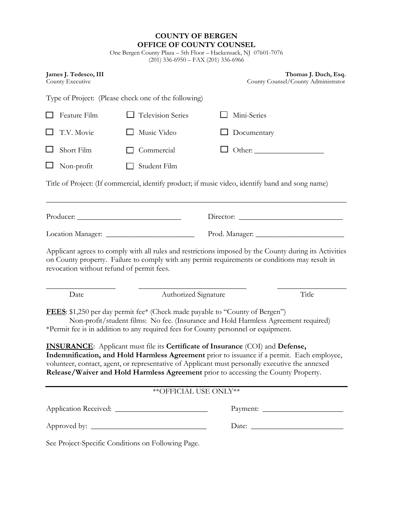|                                           | <b>COUNTY OF BERGEN</b><br>OFFICE OF COUNTY COUNSEL<br>One Bergen County Plaza - 5th Floor - Hackensack, NJ 07601-7076<br>$(201)$ 336-6950 - FAX $(201)$ 336-6966                                                                                                                                                                                                                                                                                                                                                                                                                                                                                              |             |                                                             |  |
|-------------------------------------------|----------------------------------------------------------------------------------------------------------------------------------------------------------------------------------------------------------------------------------------------------------------------------------------------------------------------------------------------------------------------------------------------------------------------------------------------------------------------------------------------------------------------------------------------------------------------------------------------------------------------------------------------------------------|-------------|-------------------------------------------------------------|--|
| James J. Tedesco, III<br>County Executive |                                                                                                                                                                                                                                                                                                                                                                                                                                                                                                                                                                                                                                                                |             | Thomas J. Duch, Esq.<br>County Counsel/County Administrator |  |
|                                           | Type of Project: (Please check one of the following)                                                                                                                                                                                                                                                                                                                                                                                                                                                                                                                                                                                                           |             |                                                             |  |
| Feature Film                              | Television Series                                                                                                                                                                                                                                                                                                                                                                                                                                                                                                                                                                                                                                              | Mini-Series |                                                             |  |
| T.V. Movie                                | Music Video                                                                                                                                                                                                                                                                                                                                                                                                                                                                                                                                                                                                                                                    | Documentary |                                                             |  |
| Short Film                                | Commercial                                                                                                                                                                                                                                                                                                                                                                                                                                                                                                                                                                                                                                                     |             |                                                             |  |
| Non-profit                                | Student Film                                                                                                                                                                                                                                                                                                                                                                                                                                                                                                                                                                                                                                                   |             |                                                             |  |
|                                           | Title of Project: (If commercial, identify product; if music video, identify band and song name)                                                                                                                                                                                                                                                                                                                                                                                                                                                                                                                                                               |             |                                                             |  |
|                                           |                                                                                                                                                                                                                                                                                                                                                                                                                                                                                                                                                                                                                                                                |             |                                                             |  |
|                                           |                                                                                                                                                                                                                                                                                                                                                                                                                                                                                                                                                                                                                                                                |             |                                                             |  |
| revocation without refund of permit fees. | Applicant agrees to comply with all rules and restrictions imposed by the County during its Activities<br>on County property. Failure to comply with any permit requirements or conditions may result in                                                                                                                                                                                                                                                                                                                                                                                                                                                       |             |                                                             |  |
| Date                                      | Authorized Signature                                                                                                                                                                                                                                                                                                                                                                                                                                                                                                                                                                                                                                           |             | Title                                                       |  |
|                                           | <b>FEES:</b> \$1,250 per day permit fee* (Check made payable to "County of Bergen")<br>Non-profit/student films: No fee. (Insurance and Hold Harmless Agreement required)<br>*Permit fee is in addition to any required fees for County personnel or equipment.<br><b>INSURANCE:</b> Applicant must file its <b>Certificate of Insurance</b> (COI) and <b>Defense</b> ,<br>Indemnification, and Hold Harmless Agreement prior to issuance if a permit. Each employee,<br>volunteer, contact, agent, or representative of Applicant must personally executive the annexed<br>Release/Waiver and Hold Harmless Agreement prior to accessing the County Property. |             |                                                             |  |
|                                           | <b>**OFFICIAL USE ONLY**</b>                                                                                                                                                                                                                                                                                                                                                                                                                                                                                                                                                                                                                                   |             |                                                             |  |
|                                           |                                                                                                                                                                                                                                                                                                                                                                                                                                                                                                                                                                                                                                                                |             |                                                             |  |
|                                           |                                                                                                                                                                                                                                                                                                                                                                                                                                                                                                                                                                                                                                                                |             |                                                             |  |
|                                           | See Project-Specific Conditions on Following Page.                                                                                                                                                                                                                                                                                                                                                                                                                                                                                                                                                                                                             |             |                                                             |  |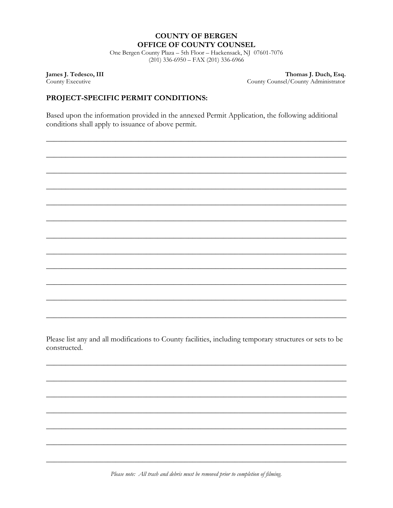### **COUNTY OF BERGEN** OFFICE OF COUNTY COUNSEL

One Bergen County Plaza - 5th Floor - Hackensack, NJ 07601-7076  $(201)$  336-6950 - FAX  $(201)$  336-6966

James J. Tedesco, III County Executive

Thomas J. Duch, Esq. County Counsel/County Administrator

### PROJECT-SPECIFIC PERMIT CONDITIONS:

Based upon the information provided in the annexed Permit Application, the following additional conditions shall apply to issuance of above permit.

Please list any and all modifications to County facilities, including temporary structures or sets to be constructed.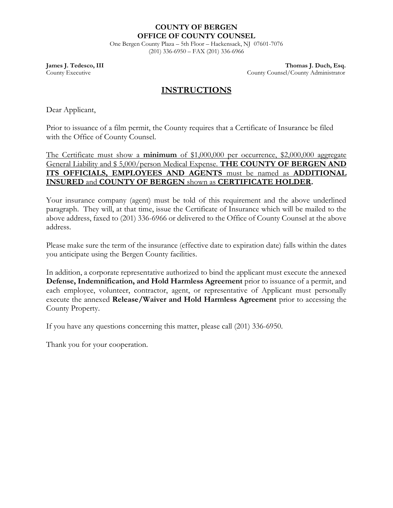### **COUNTY OF BERGEN OFFICE OF COUNTY COUNSEL**

One Bergen County Plaza – 5th Floor – Hackensack, NJ 07601-7076 (201) 336-6950 – FAX (201) 336-6966

**James J. Tedesco, III** Thomas J. Duch, Esq. County Executive County Counsel/County Administrator

## **INSTRUCTIONS**

Dear Applicant,

Prior to issuance of a film permit, the County requires that a Certificate of Insurance be filed with the Office of County Counsel.

The Certificate must show a **minimum** of \$1,000,000 per occurrence, \$2,000,000 aggregate General Liability and \$5,000/person Medical Expense. **THE COUNTY OF BERGEN AND ITS OFFICIALS, EMPLOYEES AND AGENTS** must be named as **ADDITIONAL INSURED** and **COUNTY OF BERGEN** shown as **CERTIFICATE HOLDER.**

Your insurance company (agent) must be told of this requirement and the above underlined paragraph. They will, at that time, issue the Certificate of Insurance which will be mailed to the above address, faxed to (201) 336-6966 or delivered to the Office of County Counsel at the above address.

Please make sure the term of the insurance (effective date to expiration date) falls within the dates you anticipate using the Bergen County facilities.

In addition, a corporate representative authorized to bind the applicant must execute the annexed **Defense, Indemnification, and Hold Harmless Agreement** prior to issuance of a permit, and each employee, volunteer, contractor, agent, or representative of Applicant must personally execute the annexed **Release/Waiver and Hold Harmless Agreement** prior to accessing the County Property.

If you have any questions concerning this matter, please call (201) 336-6950.

Thank you for your cooperation.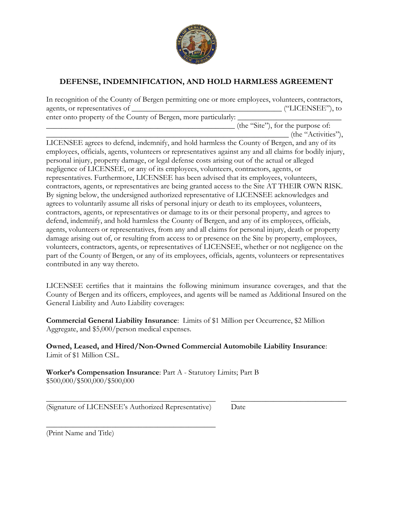

# **DEFENSE, INDEMNIFICATION, AND HOLD HARMLESS AGREEMENT**

In recognition of the County of Bergen permitting one or more employees, volunteers, contractors, agents, or representatives of \_\_\_\_\_\_\_\_\_\_\_\_\_\_\_\_\_\_\_\_\_\_\_\_\_\_\_\_\_\_\_\_\_\_\_\_\_\_\_ ("LICENSEE"), to enter onto property of the County of Bergen, more particularly:

 $_$  (the "Site"), for the purpose of: \_\_\_\_\_\_\_\_\_\_\_\_\_\_\_\_\_\_\_\_\_\_\_\_\_\_\_\_\_\_\_\_\_\_\_\_\_\_\_\_\_\_\_\_\_\_\_\_\_\_\_\_\_\_\_\_\_\_\_\_\_\_\_ (the "Activities"),

LICENSEE agrees to defend, indemnify, and hold harmless the County of Bergen, and any of its employees, officials, agents, volunteers or representatives against any and all claims for bodily injury, personal injury, property damage, or legal defense costs arising out of the actual or alleged negligence of LICENSEE, or any of its employees, volunteers, contractors, agents, or representatives. Furthermore, LICENSEE has been advised that its employees, volunteers, contractors, agents, or representatives are being granted access to the Site AT THEIR OWN RISK. By signing below, the undersigned authorized representative of LICENSEE acknowledges and agrees to voluntarily assume all risks of personal injury or death to its employees, volunteers, contractors, agents, or representatives or damage to its or their personal property, and agrees to defend, indemnify, and hold harmless the County of Bergen, and any of its employees, officials, agents, volunteers or representatives, from any and all claims for personal injury, death or property damage arising out of, or resulting from access to or presence on the Site by property, employees, volunteers, contractors, agents, or representatives of LICENSEE, whether or not negligence on the part of the County of Bergen, or any of its employees, officials, agents, volunteers or representatives contributed in any way thereto.

LICENSEE certifies that it maintains the following minimum insurance coverages, and that the County of Bergen and its officers, employees, and agents will be named as Additional Insured on the General Liability and Auto Liability coverages:

**Commercial General Liability Insurance**: Limits of \$1 Million per Occurrence, \$2 Million Aggregate, and \$5,000/person medical expenses.

**Owned, Leased, and Hired/Non-Owned Commercial Automobile Liability Insurance**: Limit of \$1 Million CSL.

\_\_\_\_\_\_\_\_\_\_\_\_\_\_\_\_\_\_\_\_\_\_\_\_\_\_\_\_\_\_\_\_\_\_\_\_\_\_\_\_\_\_\_\_ \_\_\_\_\_\_\_\_\_\_\_\_\_\_\_\_\_\_\_\_\_\_\_\_\_\_\_\_\_\_

**Worker's Compensation Insurance**: Part A - Statutory Limits; Part B \$500,000/\$500,000/\$500,000

(Signature of LICENSEE's Authorized Representative) Date

\_\_\_\_\_\_\_\_\_\_\_\_\_\_\_\_\_\_\_\_\_\_\_\_\_\_\_\_\_\_\_\_\_\_\_\_\_\_\_\_\_\_\_\_

(Print Name and Title)